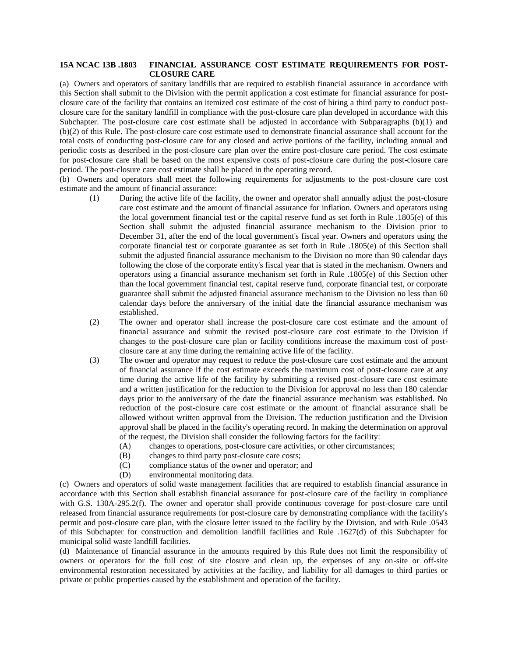## **15A NCAC 13B .1803 FINANCIAL ASSURANCE COST ESTIMATE REQUIREMENTS FOR POST-CLOSURE CARE**

(a) Owners and operators of sanitary landfills that are required to establish financial assurance in accordance with this Section shall submit to the Division with the permit application a cost estimate for financial assurance for postclosure care of the facility that contains an itemized cost estimate of the cost of hiring a third party to conduct postclosure care for the sanitary landfill in compliance with the post-closure care plan developed in accordance with this Subchapter. The post-closure care cost estimate shall be adjusted in accordance with Subparagraphs (b)(1) and (b)(2) of this Rule. The post-closure care cost estimate used to demonstrate financial assurance shall account for the total costs of conducting post-closure care for any closed and active portions of the facility, including annual and periodic costs as described in the post-closure care plan over the entire post-closure care period. The cost estimate for post-closure care shall be based on the most expensive costs of post-closure care during the post-closure care period. The post-closure care cost estimate shall be placed in the operating record.

(b) Owners and operators shall meet the following requirements for adjustments to the post-closure care cost estimate and the amount of financial assurance:

- (1) During the active life of the facility, the owner and operator shall annually adjust the post-closure care cost estimate and the amount of financial assurance for inflation. Owners and operators using the local government financial test or the capital reserve fund as set forth in Rule .1805(e) of this Section shall submit the adjusted financial assurance mechanism to the Division prior to December 31, after the end of the local government's fiscal year. Owners and operators using the corporate financial test or corporate guarantee as set forth in Rule .1805(e) of this Section shall submit the adjusted financial assurance mechanism to the Division no more than 90 calendar days following the close of the corporate entity's fiscal year that is stated in the mechanism. Owners and operators using a financial assurance mechanism set forth in Rule .1805(e) of this Section other than the local government financial test, capital reserve fund, corporate financial test, or corporate guarantee shall submit the adjusted financial assurance mechanism to the Division no less than 60 calendar days before the anniversary of the initial date the financial assurance mechanism was established.
- (2) The owner and operator shall increase the post-closure care cost estimate and the amount of financial assurance and submit the revised post-closure care cost estimate to the Division if changes to the post-closure care plan or facility conditions increase the maximum cost of postclosure care at any time during the remaining active life of the facility.
- (3) The owner and operator may request to reduce the post-closure care cost estimate and the amount of financial assurance if the cost estimate exceeds the maximum cost of post-closure care at any time during the active life of the facility by submitting a revised post-closure care cost estimate and a written justification for the reduction to the Division for approval no less than 180 calendar days prior to the anniversary of the date the financial assurance mechanism was established. No reduction of the post-closure care cost estimate or the amount of financial assurance shall be allowed without written approval from the Division. The reduction justification and the Division approval shall be placed in the facility's operating record. In making the determination on approval of the request, the Division shall consider the following factors for the facility:
	- (A) changes to operations, post-closure care activities, or other circumstances;
	- (B) changes to third party post-closure care costs;
	- (C) compliance status of the owner and operator; and
	- (D) environmental monitoring data.

(c) Owners and operators of solid waste management facilities that are required to establish financial assurance in accordance with this Section shall establish financial assurance for post-closure care of the facility in compliance with G.S. 130A-295.2(f). The owner and operator shall provide continuous coverage for post-closure care until released from financial assurance requirements for post-closure care by demonstrating compliance with the facility's permit and post-closure care plan, with the closure letter issued to the facility by the Division, and with Rule .0543 of this Subchapter for construction and demolition landfill facilities and Rule .1627(d) of this Subchapter for municipal solid waste landfill facilities.

(d) Maintenance of financial assurance in the amounts required by this Rule does not limit the responsibility of owners or operators for the full cost of site closure and clean up, the expenses of any on-site or off-site environmental restoration necessitated by activities at the facility, and liability for all damages to third parties or private or public properties caused by the establishment and operation of the facility.